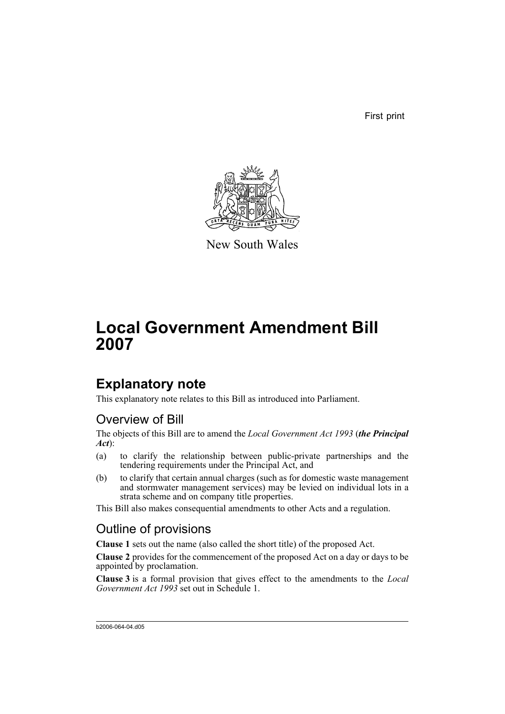First print



New South Wales

# **Local Government Amendment Bill 2007**

## **Explanatory note**

This explanatory note relates to this Bill as introduced into Parliament.

## Overview of Bill

The objects of this Bill are to amend the *Local Government Act 1993* (*the Principal Act*):

- (a) to clarify the relationship between public-private partnerships and the tendering requirements under the Principal Act, and
- (b) to clarify that certain annual charges (such as for domestic waste management and stormwater management services) may be levied on individual lots in a strata scheme and on company title properties.

This Bill also makes consequential amendments to other Acts and a regulation.

## Outline of provisions

**Clause 1** sets out the name (also called the short title) of the proposed Act.

**Clause 2** provides for the commencement of the proposed Act on a day or days to be appointed by proclamation.

**Clause 3** is a formal provision that gives effect to the amendments to the *Local Government Act 1993* set out in Schedule 1.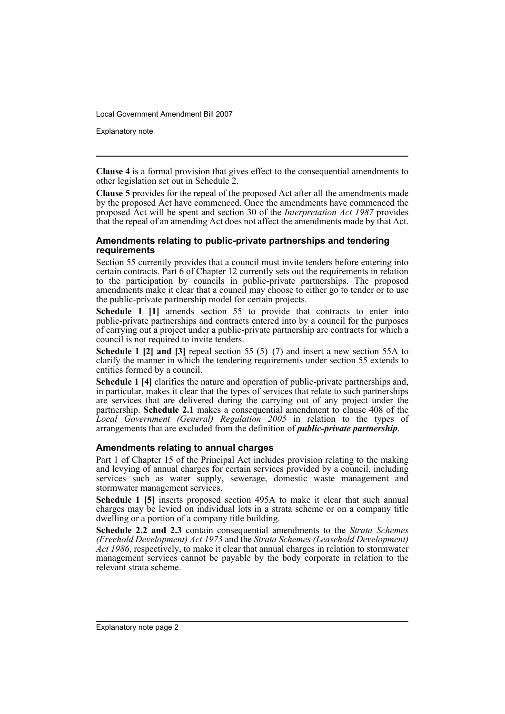Explanatory note

**Clause 4** is a formal provision that gives effect to the consequential amendments to other legislation set out in Schedule 2.

**Clause 5** provides for the repeal of the proposed Act after all the amendments made by the proposed Act have commenced. Once the amendments have commenced the proposed Act will be spent and section 30 of the *Interpretation Act 1987* provides that the repeal of an amending Act does not affect the amendments made by that Act.

### **Amendments relating to public-private partnerships and tendering requirements**

Section 55 currently provides that a council must invite tenders before entering into certain contracts. Part 6 of Chapter 12 currently sets out the requirements in relation to the participation by councils in public-private partnerships. The proposed amendments make it clear that a council may choose to either go to tender or to use the public-private partnership model for certain projects.

**Schedule 1 [1]** amends section 55 to provide that contracts to enter into public-private partnerships and contracts entered into by a council for the purposes of carrying out a project under a public-private partnership are contracts for which a council is not required to invite tenders.

**Schedule 1 [2] and [3]** repeal section 55 (5)–(7) and insert a new section 55A to clarify the manner in which the tendering requirements under section 55 extends to entities formed by a council.

**Schedule 1 [4]** clarifies the nature and operation of public-private partnerships and, in particular, makes it clear that the types of services that relate to such partnerships are services that are delivered during the carrying out of any project under the partnership. **Schedule 2.1** makes a consequential amendment to clause 408 of the *Local Government (General) Regulation 2005* in relation to the types of arrangements that are excluded from the definition of *public-private partnership*.

### **Amendments relating to annual charges**

Part 1 of Chapter 15 of the Principal Act includes provision relating to the making and levying of annual charges for certain services provided by a council, including services such as water supply, sewerage, domestic waste management and stormwater management services.

**Schedule 1 [5]** inserts proposed section 495A to make it clear that such annual charges may be levied on individual lots in a strata scheme or on a company title dwelling or a portion of a company title building.

**Schedule 2.2 and 2.3** contain consequential amendments to the *Strata Schemes (Freehold Development) Act 1973* and the *Strata Schemes (Leasehold Development) Act 1986*, respectively, to make it clear that annual charges in relation to stormwater management services cannot be payable by the body corporate in relation to the relevant strata scheme.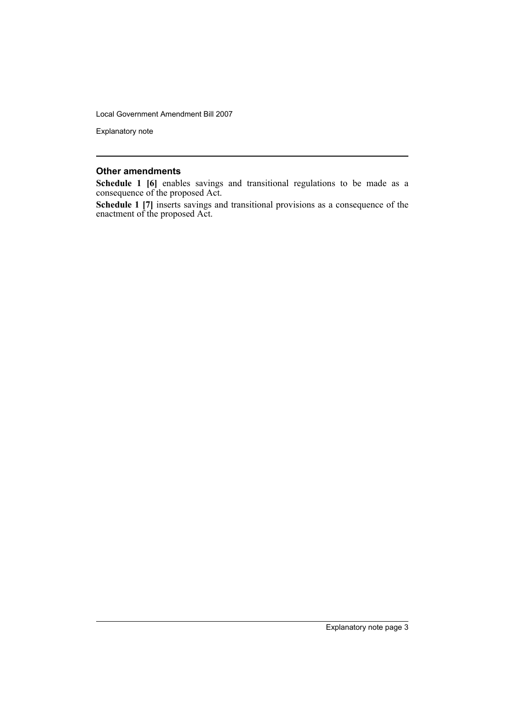Explanatory note

### **Other amendments**

**Schedule 1 [6]** enables savings and transitional regulations to be made as a consequence of the proposed Act.

**Schedule 1 [7]** inserts savings and transitional provisions as a consequence of the enactment of the proposed Act.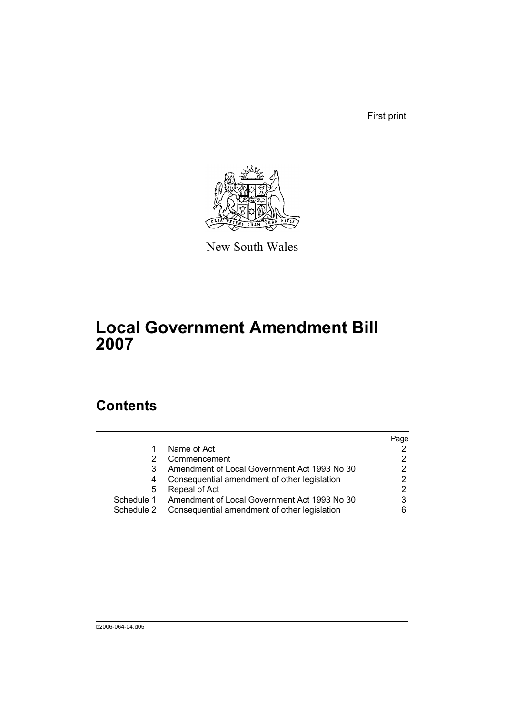First print



New South Wales

# **Local Government Amendment Bill 2007**

## **Contents**

|            |                                                         | Page |
|------------|---------------------------------------------------------|------|
|            | Name of Act                                             |      |
|            | Commencement                                            |      |
|            | Amendment of Local Government Act 1993 No 30            |      |
|            | Consequential amendment of other legislation            |      |
| 5          | Repeal of Act                                           |      |
|            | Schedule 1 Amendment of Local Government Act 1993 No 30 | 3    |
| Schedule 2 | Consequential amendment of other legislation            |      |
|            |                                                         |      |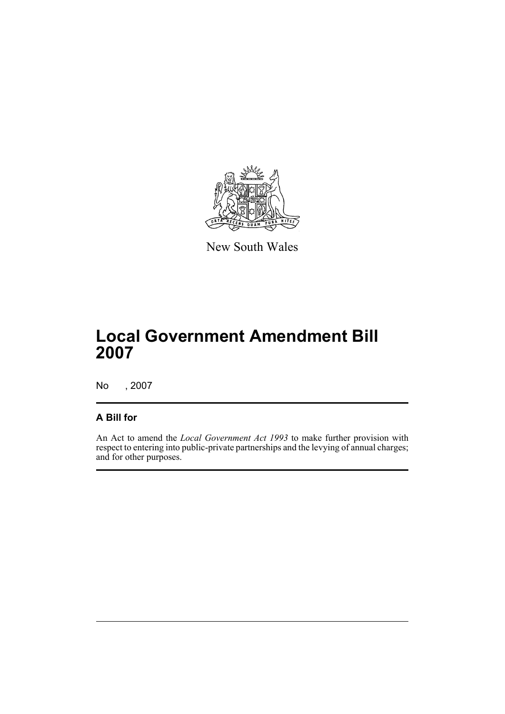

New South Wales

## **Local Government Amendment Bill 2007**

No , 2007

## **A Bill for**

An Act to amend the *Local Government Act 1993* to make further provision with respect to entering into public-private partnerships and the levying of annual charges; and for other purposes.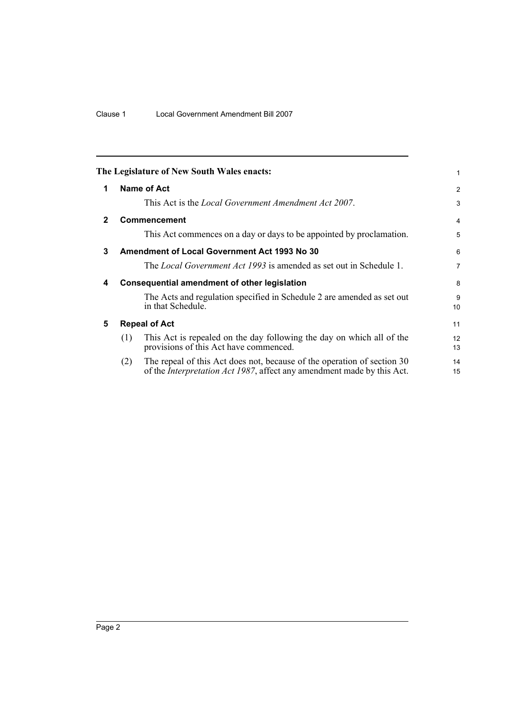<span id="page-7-4"></span><span id="page-7-3"></span><span id="page-7-2"></span><span id="page-7-1"></span><span id="page-7-0"></span>

|              |                      | The Legislature of New South Wales enacts:                                                                                                                | 1              |
|--------------|----------------------|-----------------------------------------------------------------------------------------------------------------------------------------------------------|----------------|
| 1            |                      | Name of Act                                                                                                                                               | 2              |
|              |                      | This Act is the <i>Local Government Amendment Act 2007</i> .                                                                                              | 3              |
| $\mathbf{2}$ |                      | Commencement                                                                                                                                              | 4              |
|              |                      | This Act commences on a day or days to be appointed by proclamation.                                                                                      | 5              |
| 3            |                      | <b>Amendment of Local Government Act 1993 No 30</b>                                                                                                       | 6              |
|              |                      | The <i>Local Government Act 1993</i> is amended as set out in Schedule 1.                                                                                 | $\overline{7}$ |
| 4            |                      | <b>Consequential amendment of other legislation</b>                                                                                                       | 8              |
|              |                      | The Acts and regulation specified in Schedule 2 are amended as set out<br>in that Schedule.                                                               | 9<br>10        |
| 5            | <b>Repeal of Act</b> |                                                                                                                                                           |                |
|              | (1)                  | This Act is repealed on the day following the day on which all of the<br>provisions of this Act have commenced.                                           | 12<br>13       |
|              | (2)                  | The repeal of this Act does not, because of the operation of section 30<br>of the <i>Interpretation Act 1987</i> , affect any amendment made by this Act. | 14<br>15       |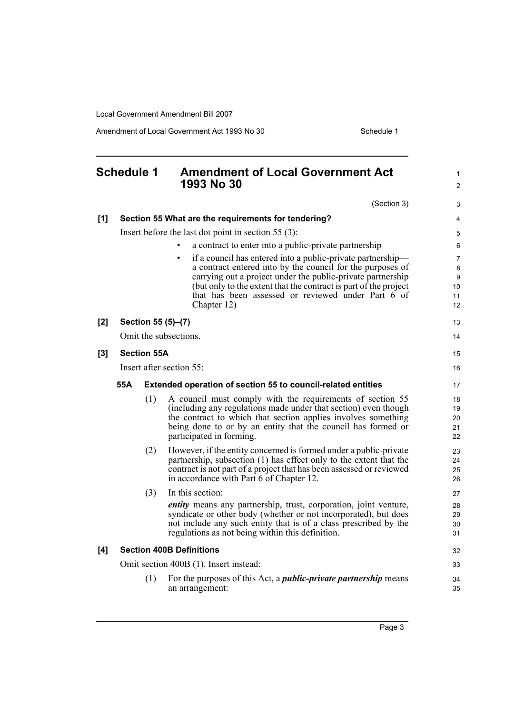Amendment of Local Government Act 1993 No 30 Schedule 1

<span id="page-8-0"></span>

|     | <b>Schedule 1</b>                      |                    | <b>Amendment of Local Government Act</b><br>1993 No 30                                                                                     | 1<br>$\overline{2}$ |
|-----|----------------------------------------|--------------------|--------------------------------------------------------------------------------------------------------------------------------------------|---------------------|
|     |                                        |                    | (Section 3)                                                                                                                                | 3                   |
| [1] |                                        |                    | Section 55 What are the requirements for tendering?                                                                                        | $\overline{4}$      |
|     |                                        |                    | Insert before the last dot point in section 55 $(3)$ :                                                                                     | 5                   |
|     |                                        |                    | a contract to enter into a public-private partnership                                                                                      | 6                   |
|     |                                        |                    | if a council has entered into a public-private partnership—<br>$\bullet$                                                                   | $\overline{7}$      |
|     |                                        |                    | a contract entered into by the council for the purposes of<br>carrying out a project under the public-private partnership                  | 8<br>9              |
|     |                                        |                    | (but only to the extent that the contract is part of the project                                                                           | 10                  |
|     |                                        |                    | that has been assessed or reviewed under Part 6 of<br>Chapter 12)                                                                          | 11<br>12            |
| [2] |                                        |                    | Section 55 (5)-(7)                                                                                                                         | 13                  |
|     |                                        |                    | Omit the subsections.                                                                                                                      | 14                  |
| [3] |                                        | <b>Section 55A</b> |                                                                                                                                            | 15                  |
|     |                                        |                    | Insert after section 55:                                                                                                                   | 16                  |
|     | 55A                                    |                    | Extended operation of section 55 to council-related entities                                                                               | 17                  |
|     |                                        | (1)                | A council must comply with the requirements of section 55                                                                                  | 18                  |
|     |                                        |                    | (including any regulations made under that section) even though<br>the contract to which that section applies involves something           | 19<br>20            |
|     |                                        |                    | being done to or by an entity that the council has formed or                                                                               | 21                  |
|     |                                        |                    | participated in forming.                                                                                                                   | 22                  |
|     |                                        | (2)                | However, if the entity concerned is formed under a public-private                                                                          | 23<br>24            |
|     |                                        |                    | partnership, subsection (1) has effect only to the extent that the<br>contract is not part of a project that has been assessed or reviewed | 25                  |
|     |                                        |                    | in accordance with Part 6 of Chapter 12.                                                                                                   | 26                  |
|     |                                        | (3)                | In this section:                                                                                                                           | 27                  |
|     |                                        |                    | <i>entity</i> means any partnership, trust, corporation, joint venture,<br>syndicate or other body (whether or not incorporated), but does | 28                  |
|     |                                        |                    | not include any such entity that is of a class prescribed by the                                                                           | 29<br>30            |
|     |                                        |                    | regulations as not being within this definition.                                                                                           | 31                  |
| [4] |                                        |                    | <b>Section 400B Definitions</b>                                                                                                            | 32                  |
|     | Omit section 400B (1). Insert instead: |                    |                                                                                                                                            |                     |
|     |                                        | (1)                | For the purposes of this Act, a <i>public-private partnership</i> means<br>an arrangement:                                                 | 34<br>35            |
|     |                                        |                    |                                                                                                                                            |                     |

Page 3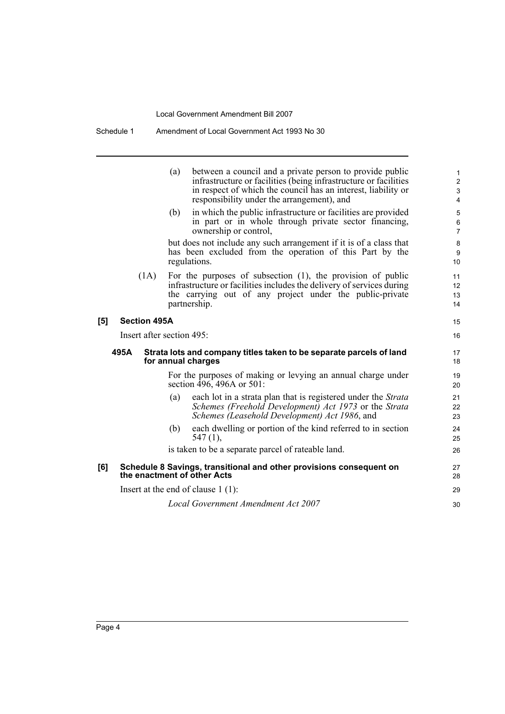|     |                           | (a)<br>(b) | between a council and a private person to provide public<br>infrastructure or facilities (being infrastructure or facilities<br>in respect of which the council has an interest, liability or<br>responsibility under the arrangement), and<br>in which the public infrastructure or facilities are provided<br>in part or in whole through private sector financing,<br>ownership or control,<br>but does not include any such arrangement if it is of a class that<br>has been excluded from the operation of this Part by the<br>regulations. | 1<br>$\overline{2}$<br>$\mathbf{3}$<br>$\overline{4}$<br>5<br>6<br>$\overline{7}$<br>$\bf 8$<br>9<br>10 |
|-----|---------------------------|------------|--------------------------------------------------------------------------------------------------------------------------------------------------------------------------------------------------------------------------------------------------------------------------------------------------------------------------------------------------------------------------------------------------------------------------------------------------------------------------------------------------------------------------------------------------|---------------------------------------------------------------------------------------------------------|
|     | (1A)                      |            | For the purposes of subsection $(1)$ , the provision of public<br>infrastructure or facilities includes the delivery of services during<br>the carrying out of any project under the public-private<br>partnership.                                                                                                                                                                                                                                                                                                                              | 11<br>12<br>13<br>14                                                                                    |
| [5] | <b>Section 495A</b>       |            |                                                                                                                                                                                                                                                                                                                                                                                                                                                                                                                                                  | 15                                                                                                      |
|     | Insert after section 495: |            |                                                                                                                                                                                                                                                                                                                                                                                                                                                                                                                                                  | 16                                                                                                      |
|     | 495A                      |            | Strata lots and company titles taken to be separate parcels of land<br>for annual charges                                                                                                                                                                                                                                                                                                                                                                                                                                                        | 17<br>18                                                                                                |
|     |                           |            | For the purposes of making or levying an annual charge under<br>section $\overline{496}$ , 496A or 501:                                                                                                                                                                                                                                                                                                                                                                                                                                          | 19<br>20                                                                                                |
|     |                           | (a)        | each lot in a strata plan that is registered under the Strata<br>Schemes (Freehold Development) Act 1973 or the Strata<br>Schemes (Leasehold Development) Act 1986, and                                                                                                                                                                                                                                                                                                                                                                          | 21<br>22<br>23                                                                                          |
|     |                           | (b)        | each dwelling or portion of the kind referred to in section<br>$547(1)$ ,                                                                                                                                                                                                                                                                                                                                                                                                                                                                        | 24<br>25                                                                                                |
|     |                           |            | is taken to be a separate parcel of rateable land.                                                                                                                                                                                                                                                                                                                                                                                                                                                                                               | 26                                                                                                      |
| [6] |                           |            | Schedule 8 Savings, transitional and other provisions consequent on<br>the enactment of other Acts                                                                                                                                                                                                                                                                                                                                                                                                                                               | 27<br>28                                                                                                |
|     |                           |            | Insert at the end of clause $1(1)$ :                                                                                                                                                                                                                                                                                                                                                                                                                                                                                                             | 29                                                                                                      |
|     |                           |            | Local Government Amendment Act 2007                                                                                                                                                                                                                                                                                                                                                                                                                                                                                                              | 30                                                                                                      |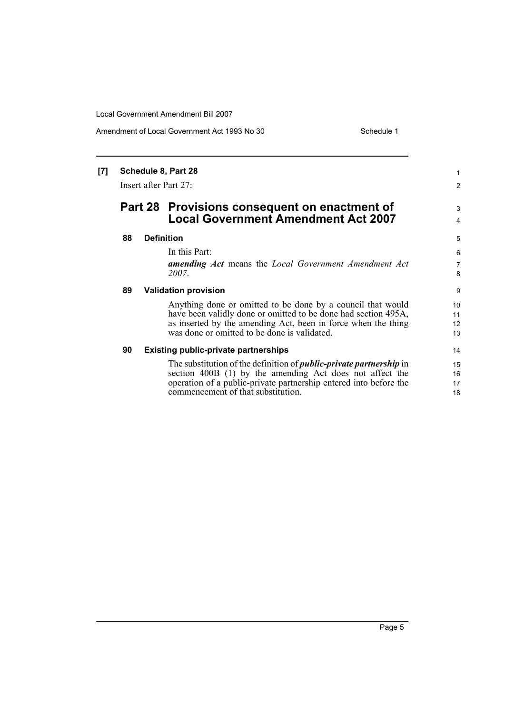Amendment of Local Government Act 1993 No 30 Schedule 1

1 2

3 4

### **[7] Schedule 8, Part 28**

Insert after Part 27:

## **Part 28 Provisions consequent on enactment of Local Government Amendment Act 2007**

### **88 Definition**

#### In this Part:

*amending Act* means the *Local Government Amendment Act 2007*.

### **89 Validation provision**

Anything done or omitted to be done by a council that would have been validly done or omitted to be done had section 495A, as inserted by the amending Act, been in force when the thing was done or omitted to be done is validated.

#### **90 Existing public-private partnerships**

The substitution of the definition of *public-private partnership* in section 400B (1) by the amending Act does not affect the operation of a public-private partnership entered into before the commencement of that substitution.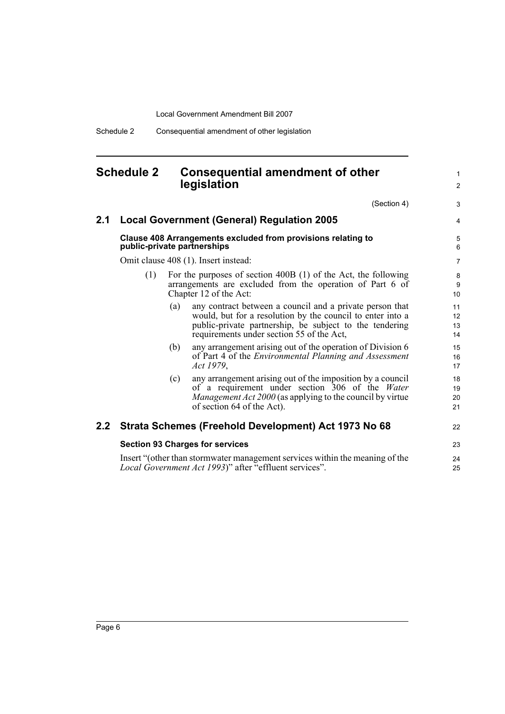Schedule 2 Consequential amendment of other legislation

## <span id="page-11-0"></span>**Schedule 2 Consequential amendment of other legislation**

(Section 4)

1 2

3

| 2.1 |                                                                                             |     | <b>Local Government (General) Regulation 2005</b>                                                                                                                                                                              | $\overline{4}$                    |
|-----|---------------------------------------------------------------------------------------------|-----|--------------------------------------------------------------------------------------------------------------------------------------------------------------------------------------------------------------------------------|-----------------------------------|
|     | Clause 408 Arrangements excluded from provisions relating to<br>public-private partnerships |     |                                                                                                                                                                                                                                |                                   |
|     | Omit clause 408 (1). Insert instead:                                                        |     |                                                                                                                                                                                                                                |                                   |
|     | (1)                                                                                         |     | For the purposes of section 400B (1) of the Act, the following<br>arrangements are excluded from the operation of Part 6 of<br>Chapter 12 of the Act:                                                                          | 8<br>9<br>10 <sup>°</sup>         |
|     |                                                                                             | (a) | any contract between a council and a private person that<br>would, but for a resolution by the council to enter into a<br>public-private partnership, be subject to the tendering<br>requirements under section 55 of the Act, | 11<br>12 <sup>°</sup><br>13<br>14 |
|     |                                                                                             | (b) | any arrangement arising out of the operation of Division 6<br>of Part 4 of the <i>Environmental Planning and Assessment</i><br>Act 1979,                                                                                       | 15<br>16<br>17                    |
|     |                                                                                             | (c) | any arrangement arising out of the imposition by a council<br>of a requirement under section 306 of the Water<br><i>Management Act 2000</i> (as applying to the council by virtue<br>of section 64 of the Act).                | 18<br>19<br>20<br>21              |
| 2.2 |                                                                                             |     | Strata Schemes (Freehold Development) Act 1973 No 68                                                                                                                                                                           | 22                                |
|     | <b>Section 93 Charges for services</b>                                                      |     |                                                                                                                                                                                                                                |                                   |
|     |                                                                                             |     | Insert "(other than stormwater management services within the meaning of the<br>Local Government Act 1993)" after "effluent services".                                                                                         | 24<br>25                          |